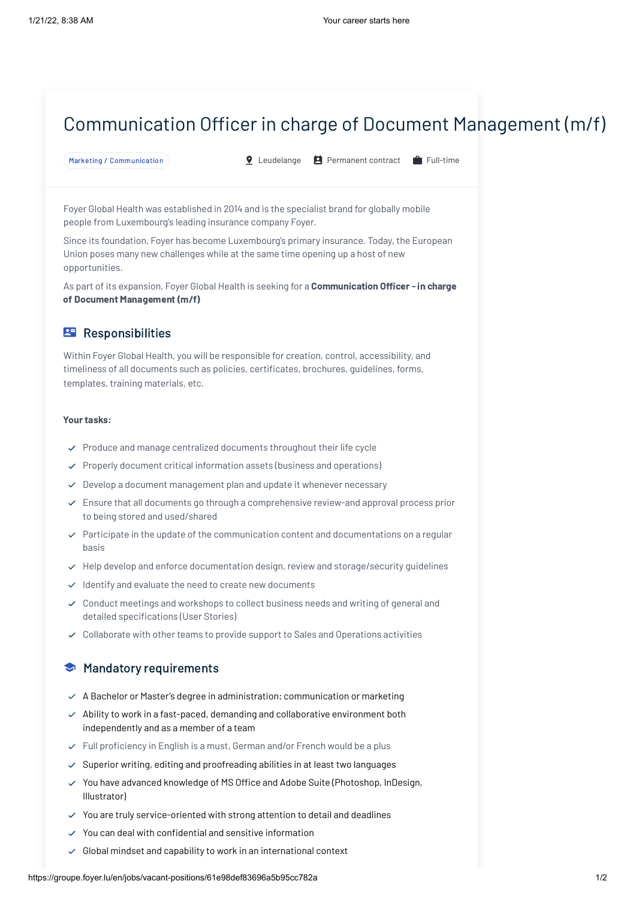# Communication Officer in charge of Document Management (m/f)

```
Marketing / Communication \bullet Leudelange \bullet Permanent contract \bullet Full-time
```
Foyer Global Health was established in 2014 and is the specialist brand for globally mobile people from Luxembourg's leading insurance company Foyer.

Since its foundation, Foyer has become Luxembourg's primary insurance. Today, the European Union poses many new challenges while at the same time opening up a host of new opportunities.

As part of its expansion, Foyer Global Health is seeking for a Communication Officer - in charge of Document Management (m/f)

## **Responsibilities**

Within Foyer Global Health, you will be responsible for creation, control, accessibility, and timeliness of all documents such as policies, certificates, brochures, guidelines, forms, templates, training materials, etc.

#### Your tasks:

- $\vee$  Produce and manage centralized documents throughout their life cycle
- $\vee$  Properly document critical information assets (business and operations)
- $\vee$  Develop a document management plan and update it whenever necessary
- $\vee$  Ensure that all documents go through a comprehensive review-and approval process prior to being stored and used/shared
- $\vee$  Participate in the update of the communication content and documentations on a regular basis
- $\vee$  Help develop and enforce documentation design, review and storage/security guidelines
- $\checkmark$  Identify and evaluate the need to create new documents
- $\checkmark$  Conduct meetings and workshops to collect business needs and writing of general and detailed specifications (User Stories)
- $\vee$  Collaborate with other teams to provide support to Sales and Operations activities

### **Mandatory requirements**

- $\angle$  A Bachelor or Master's degree in administration; communication or marketing
- $\vee$  Ability to work in a fast-paced, demanding and collaborative environment both independently and as a member of a team
- $\vee$  Full proficiency in English is a must, German and/or French would be a plus
- $\vee$  Superior writing, editing and proofreading abilities in at least two languages
- $\vee$  You have advanced knowledge of MS Office and Adobe Suite (Photoshop, InDesign, Illustrator)
- $\vee$  You are truly service-oriented with strong attention to detail and deadlines
- $\vee$  You can deal with confidential and sensitive information
- $\vee$  Global mindset and capability to work in an international context